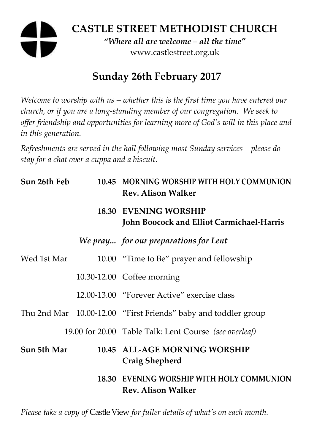# **CASTLE STREET METHODIST CHURCH**

*"Where all are welcome – all the time"*  www.castlestreet.org.uk

## **Sunday 26th February 2017**

*Welcome to worship with us – whether this is the first time you have entered our church, or if you are a long-standing member of our congregation. We seek to offer friendship and opportunities for learning more of God's will in this place and in this generation.* 

*Refreshments are served in the hall following most Sunday services – please do stay for a chat over a cuppa and a biscuit.* 

| Sun 26th Feb | 10.45 MORNING WORSHIP WITH HOLY COMMUNION<br><b>Rev. Alison Walker</b>    |
|--------------|---------------------------------------------------------------------------|
|              | <b>18.30 EVENING WORSHIP</b><br>John Boocock and Elliot Carmichael-Harris |
|              | We pray for our preparations for Lent                                     |
| Wed 1st Mar  | 10.00 "Time to Be" prayer and fellowship                                  |
|              | 10.30-12.00 Coffee morning                                                |
|              | 12.00-13.00 "Forever Active" exercise class                               |
|              | Thu 2nd Mar 10.00-12.00 "First Friends" baby and toddler group            |
|              | 19.00 for 20.00 Table Talk: Lent Course (see overleaf)                    |
| Sun 5th Mar  | 10.45 ALL-AGE MORNING WORSHIP<br>Craig Shepherd                           |
|              | 18.30 EVENING WORSHIP WITH HOLY COMMUNION<br><b>Rev. Alison Walker</b>    |

*Please take a copy of* Castle View *for fuller details of what's on each month.*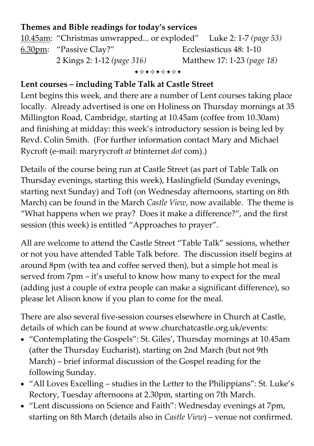### **Themes and Bible readings for today's services**

10.45am: "Christmas unwrapped... or exploded" Luke 2: 1-7 *(page 53)* 6.30pm: "Passive Clay?" Ecclesiasticus 48: 1-10 2 Kings 2: 1-12 *(page 316)* Matthew 17: 1-23 *(page 18)* +\*+\*\*\*\*+

### **Lent courses – including Table Talk at Castle Street**

Lent begins this week, and there are a number of Lent courses taking place locally. Already advertised is one on Holiness on Thursday mornings at 35 Millington Road, Cambridge, starting at 10.45am (coffee from 10.30am) and finishing at midday: this week's introductory session is being led by Revd. Colin Smith. (For further information contact Mary and Michael Rycroft (e-mail: maryrycroft *at* btinternet *dot* com).)

Details of the course being run at Castle Street (as part of Table Talk on Thursday evenings, starting this week), Haslingfield (Sunday evenings, starting next Sunday) and Toft (on Wednesday afternoons, starting on 8th March) can be found in the March *Castle View*, now available. The theme is "What happens when we pray? Does it make a difference?", and the first session (this week) is entitled "Approaches to prayer".

All are welcome to attend the Castle Street "Table Talk" sessions, whether or not you have attended Table Talk before. The discussion itself begins at around 8pm (with tea and coffee served then), but a simple hot meal is served from 7pm – it's useful to know how many to expect for the meal (adding just a couple of extra people can make a significant difference), so please let Alison know if you plan to come for the meal.

There are also several five-session courses elsewhere in Church at Castle, details of which can be found at www.churchatcastle.org.uk/events:

- "Contemplating the Gospels": St. Giles', Thursday mornings at 10.45am (after the Thursday Eucharist), starting on 2nd March (but not 9th March) – brief informal discussion of the Gospel reading for the following Sunday.
- "All Loves Excelling studies in the Letter to the Philippians": St. Luke's Rectory, Tuesday afternoons at 2.30pm, starting on 7th March.
- "Lent discussions on Science and Faith": Wednesday evenings at 7pm, starting on 8th March (details also in *Castle View*) – venue not confirmed.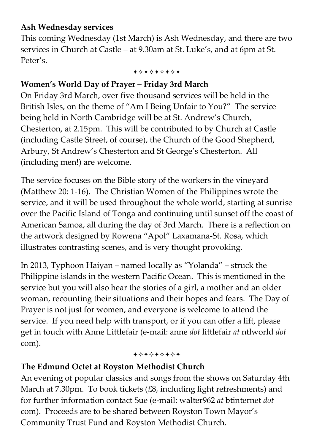### **Ash Wednesday services**

This coming Wednesday (1st March) is Ash Wednesday, and there are two services in Church at Castle – at 9.30am at St. Luke's, and at 6pm at St. Peter's.

+\*\*\*\*\*\*\*

#### **Women's World Day of Prayer – Friday 3rd March**

On Friday 3rd March, over five thousand services will be held in the British Isles, on the theme of "Am I Being Unfair to You?" The service being held in North Cambridge will be at St. Andrew's Church, Chesterton, at 2.15pm. This will be contributed to by Church at Castle (including Castle Street, of course), the Church of the Good Shepherd, Arbury, St Andrew's Chesterton and St George's Chesterton. All (including men!) are welcome.

The service focuses on the Bible story of the workers in the vineyard (Matthew 20: 1-16). The Christian Women of the Philippines wrote the service, and it will be used throughout the whole world, starting at sunrise over the Pacific Island of Tonga and continuing until sunset off the coast of American Samoa, all during the day of 3rd March. There is a reflection on the artwork designed by Rowena "Apol" Laxamana-St. Rosa, which illustrates contrasting scenes, and is very thought provoking.

In 2013, Typhoon Haiyan – named locally as "Yolanda" – struck the Philippine islands in the western Pacific Ocean. This is mentioned in the service but you will also hear the stories of a girl, a mother and an older woman, recounting their situations and their hopes and fears. The Day of Prayer is not just for women, and everyone is welcome to attend the service. If you need help with transport, or if you can offer a lift, please get in touch with Anne Littlefair (e-mail: anne *dot* littlefair *at* ntlworld *dot* com).

#### +\*+\*\*\*\*\*

### **The Edmund Octet at Royston Methodist Church**

An evening of popular classics and songs from the shows on Saturday 4th March at 7.30pm. To book tickets (£8, including light refreshments) and for further information contact Sue (e-mail: walter962 *at* btinternet *dot* com). Proceeds are to be shared between Royston Town Mayor's Community Trust Fund and Royston Methodist Church.